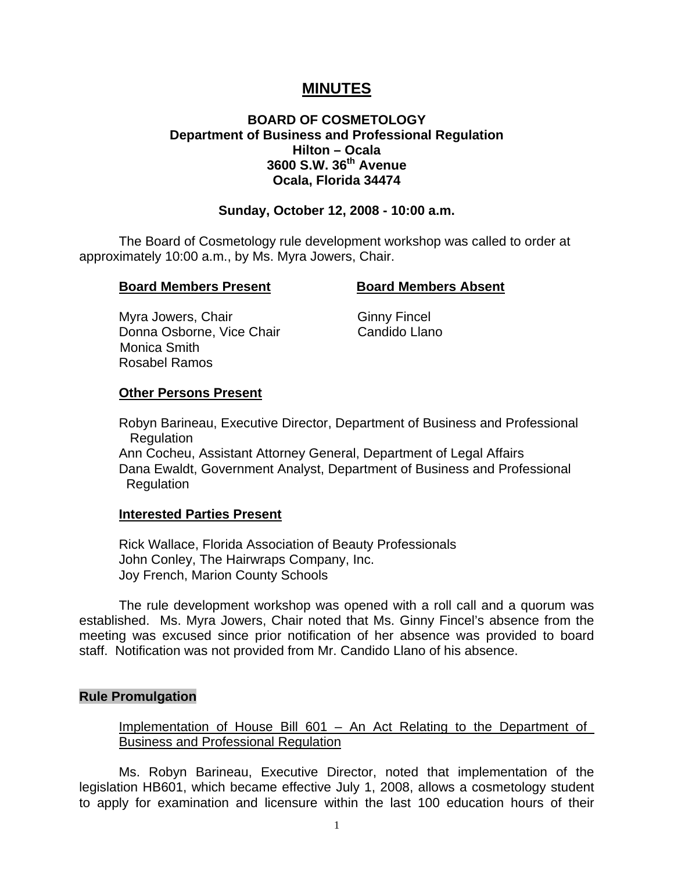# **MINUTES**

# **BOARD OF COSMETOLOGY Department of Business and Professional Regulation Hilton – Ocala 3600 S.W. 36th Avenue Ocala, Florida 34474**

### **Sunday, October 12, 2008 - 10:00 a.m.**

 The Board of Cosmetology rule development workshop was called to order at approximately 10:00 a.m., by Ms. Myra Jowers, Chair.

#### **Board Members Present Board Members Absent**

Myra Jowers, Chair Ginny Fincel Donna Osborne, Vice Chair Candido Llano Monica Smith Rosabel Ramos

### **Other Persons Present**

 Robyn Barineau, Executive Director, Department of Business and Professional **Regulation** 

 Ann Cocheu, Assistant Attorney General, Department of Legal Affairs Dana Ewaldt, Government Analyst, Department of Business and Professional Regulation

### **Interested Parties Present**

 Rick Wallace, Florida Association of Beauty Professionals John Conley, The Hairwraps Company, Inc. Joy French, Marion County Schools

 The rule development workshop was opened with a roll call and a quorum was established. Ms. Myra Jowers, Chair noted that Ms. Ginny Fincel's absence from the meeting was excused since prior notification of her absence was provided to board staff. Notification was not provided from Mr. Candido Llano of his absence.

### **Rule Promulgation**

Implementation of House Bill 601 – An Act Relating to the Department of Business and Professional Regulation

 Ms. Robyn Barineau, Executive Director, noted that implementation of the legislation HB601, which became effective July 1, 2008, allows a cosmetology student to apply for examination and licensure within the last 100 education hours of their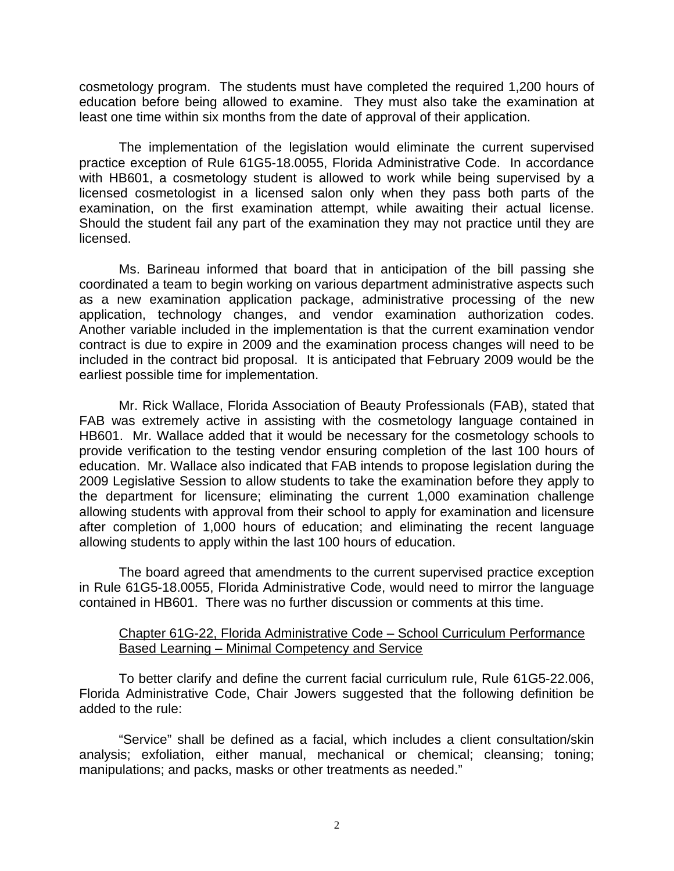cosmetology program. The students must have completed the required 1,200 hours of education before being allowed to examine. They must also take the examination at least one time within six months from the date of approval of their application.

 The implementation of the legislation would eliminate the current supervised practice exception of Rule 61G5-18.0055, Florida Administrative Code. In accordance with HB601, a cosmetology student is allowed to work while being supervised by a licensed cosmetologist in a licensed salon only when they pass both parts of the examination, on the first examination attempt, while awaiting their actual license. Should the student fail any part of the examination they may not practice until they are licensed.

 Ms. Barineau informed that board that in anticipation of the bill passing she coordinated a team to begin working on various department administrative aspects such as a new examination application package, administrative processing of the new application, technology changes, and vendor examination authorization codes. Another variable included in the implementation is that the current examination vendor contract is due to expire in 2009 and the examination process changes will need to be included in the contract bid proposal. It is anticipated that February 2009 would be the earliest possible time for implementation.

 Mr. Rick Wallace, Florida Association of Beauty Professionals (FAB), stated that FAB was extremely active in assisting with the cosmetology language contained in HB601. Mr. Wallace added that it would be necessary for the cosmetology schools to provide verification to the testing vendor ensuring completion of the last 100 hours of education. Mr. Wallace also indicated that FAB intends to propose legislation during the 2009 Legislative Session to allow students to take the examination before they apply to the department for licensure; eliminating the current 1,000 examination challenge allowing students with approval from their school to apply for examination and licensure after completion of 1,000 hours of education; and eliminating the recent language allowing students to apply within the last 100 hours of education.

 The board agreed that amendments to the current supervised practice exception in Rule 61G5-18.0055, Florida Administrative Code, would need to mirror the language contained in HB601. There was no further discussion or comments at this time.

## Chapter 61G-22, Florida Administrative Code – School Curriculum Performance Based Learning – Minimal Competency and Service

 To better clarify and define the current facial curriculum rule, Rule 61G5-22.006, Florida Administrative Code, Chair Jowers suggested that the following definition be added to the rule:

 "Service" shall be defined as a facial, which includes a client consultation/skin analysis; exfoliation, either manual, mechanical or chemical; cleansing; toning; manipulations; and packs, masks or other treatments as needed."